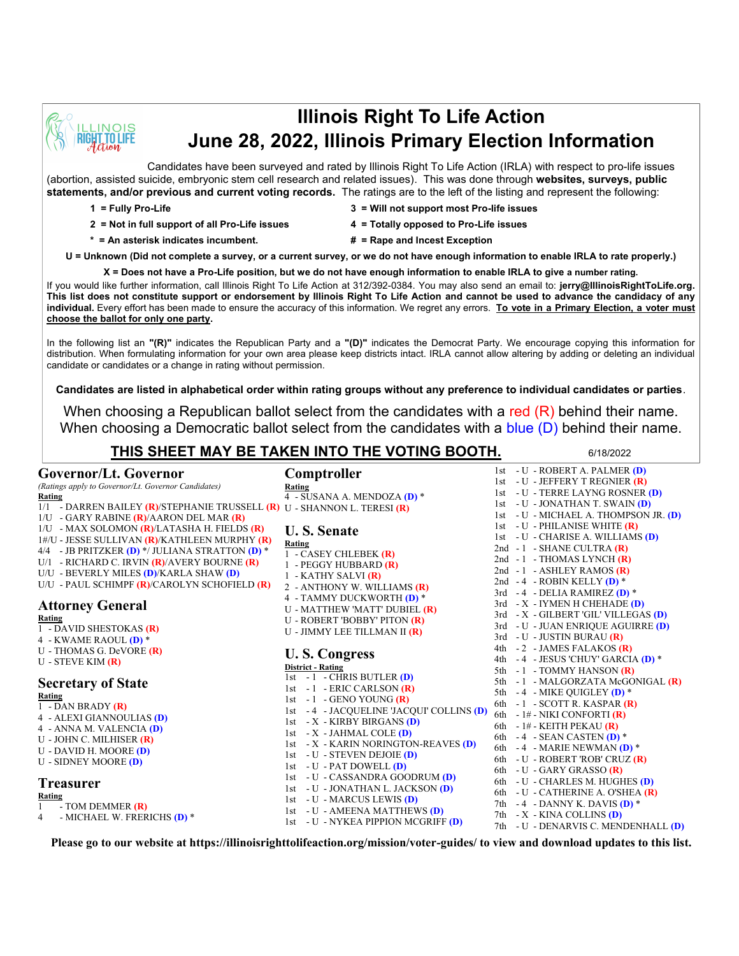

# **Illinois Right To Life Action June 28, 2022, Illinois Primary Election Information**

Candidates have been surveyed and rated by Illinois Right To Life Action (IRLA) with respect to pro-life issues (abortion, assisted suicide, embryonic stem cell research and related issues). This was done through **websites, surveys, public statements, and/or previous and current voting records.** The ratings are to the left of the listing and represent the following:

- 
- **2 = Not in full support of all Pro-Life issues 4 = Totally opposed to Pro-Life issues**
- **1 = Fully Pro-Life 3 = Will not support most Pro-life issues**
	- -
- 
- 
- **\* = An asterisk indicates incumbent. # = Rape and Incest Exception**

**U = Unknown (Did not complete a survey, or a current survey, or we do not have enough information to enable IRLA to rate properly.)**

**X = Does not have a Pro-Life position, but we do not have enough information to enable IRLA to give a number rating.**  If you would like further information, call Illinois Right To Life Action at 312/392-0384. You may also send an email to: **jerry@IllinoisRightToLife.org.** 

**This list does not constitute support or endorsement by Illinois Right To Life Action and cannot be used to advance the candidacy of any individual.** Every effort has been made to ensure the accuracy of this information. We regret any errors. **To vote in a Primary Election, a voter must choose the ballot for only one party.**

In the following list an **"(R)"** indicates the Republican Party and a **"(D)"** indicates the Democrat Party. We encourage copying this information for distribution. When formulating information for your own area please keep districts intact. IRLA cannot allow altering by adding or deleting an individual candidate or candidates or a change in rating without permission.

**Candidates are listed in alphabetical order within rating groups without any preference to individual candidates or parties**.

When choosing a Republican ballot select from the candidates with a red  $(R)$  behind their name. When choosing a Democratic ballot select from the candidates with a blue (D) behind their name.

4 - SUSANA A. MENDOZA **(D)** \*

## **THIS SHEET MAY BE TAKEN INTO THE VOTING BOOTH.** 6/18/2022

**Rating**

**Comptroller**

#### **Governor/Lt. Governor**

#### *(Ratings apply to Governor/Lt. Governor Candidates)* **Rating**

1/1 - DARREN BAILEY **(R)**/STEPHANIE TRUSSELL **(R)** U - SHANNON L. TERESI **(R)** 1/U - GARY RABINE **(R)**/AARON DEL MAR **(R)** 1/U - MAX SOLOMON **(R)**/LATASHA H. FIELDS **(R)** 1#/U - JESSE SULLIVAN **(R)**/KATHLEEN MURPHY **(R)** 4/4 - JB PRITZKER **(D)** \*/ JULIANA STRATTON **(D)** \* U/1 - RICHARD C. IRVIN **(R)**/AVERY BOURNE **(R)**

- U/U BEVERLY MILES **(D)**/KARLA SHAW **(D)**
- U/U PAUL SCHIMPF **(R)**/CAROLYN SCHOFIELD **(R)**

# **Attorney General**

**Rating**

- 1 DAVID SHESTOKAS **(R)** 4 - KWAME RAOUL **(D)** \*
- U THOMAS G. DeVORE **(R)**
- U STEVE KIM **(R)**

### **Secretary of State**

**Rating**

- 1 DAN BRADY **(R)**
- 4 ALEXI GIANNOULIAS **(D)**
- 4 ANNA M. VALENCIA **(D)** U - JOHN C. MILHISER **(R)**
- U DAVID H. MOORE **(D)**
- U SIDNEY MOORE **(D)**
- 

### **Treasurer**

- **Rating** 1 - TOM DEMMER **(R)**
- 4 MICHAEL W. FRERICHS **(D)** \*

**U. S. Senate Rating** 1 - CASEY CHLEBEK **(R)** 1 - PEGGY HUBBARD **(R)** 1 - KATHY SALVI **(R)** 2 - ANTHONY W. WILLIAMS **(R)** 4 - TAMMY DUCKWORTH **(D)** \* U - MATTHEW 'MATT' DUBIEL **(R)** U - ROBERT 'BOBBY' PITON **(R)** U - JIMMY LEE TILLMAN II **(R) U. S. Congress District - Rating**  $1st - 1 - \overline{CHRIS}$  BUTLER  $(D)$ 1st - 1 - ERIC CARLSON **(R)** 1st - 1 - GENO YOUNG **(R)** 1st - 4 - JACQUELINE 'JACQUI' COLLINS **(D)** 1st - X - KIRBY BIRGANS **(D)** 1st - X - JAHMAL COLE **(D)** 1st - X - KARIN NORINGTON-REAVES **(D)** 1st - U - STEVEN DEJOIE **(D)** 1st - U - PAT DOWELL **(D)** 1st - U - CASSANDRA GOODRUM **(D)** 1st - U - JONATHAN L. JACKSON **(D)** 1st - U - MARCUS LEWIS **(D)**

1st - U - ROBERT A. PALMER **(D)** 1st - U - JEFFERY T REGNIER **(R)** 1st - U - TERRE LAYNG ROSNER **(D)** 1st - U - JONATHAN T. SWAIN **(D)** 1st - U - MICHAEL A. THOMPSON JR. **(D)** 1st - U - PHILANISE WHITE **(R)** 1st - U - CHARISE A. WILLIAMS **(D)** 2nd - 1 - SHANE CULTRA **(R)** 2nd - 1 - THOMAS LYNCH **(R)** 2nd - 1 - ASHLEY RAMOS **(R)** 2nd - 4 - ROBIN KELLY **(D)** \* 3rd - 4 - DELIA RAMIREZ **(D)** \* 3rd - X - IYMEN H CHEHADE **(D)** 3rd - X - GILBERT 'GIL' VILLEGAS **(D)** 3rd - U - JUAN ENRIQUE AGUIRRE **(D)** 3rd - U - JUSTIN BURAU **(R)** 4th - 2 - JAMES FALAKOS **(R)** 4th - 4 - JESUS 'CHUY' GARCIA **(D)** \* 5th - 1 - TOMMY HANSON **(R)** 5th - 1 - MALGORZATA McGONIGAL **(R)** 5th - 4 - MIKE QUIGLEY **(D)** \* 6th - 1 - SCOTT R. KASPAR **(R)** 6th - 1# - NIKI CONFORTI **(R)** 6th - 1# - KEITH PEKAU **(R)** 6th - 4 - SEAN CASTEN **(D)** \* 6th - 4 - MARIE NEWMAN **(D)** \* 6th - U - ROBERT 'ROB' CRUZ **(R)** 6th - U - GARY GRASSO **(R)** 6th - U - CHARLES M. HUGHES **(D)** 6th - U - CATHERINE A. O'SHEA **(R)** 7th - 4 - DANNY K. DAVIS **(D)** \* 7th - X - KINA COLLINS **(D)** 7th - U - DENARVIS C. MENDENHALL **(D)**

1st - U - NYKEA PIPPION MCGRIFF **(D) Please go to our website at https://illinoisrighttolifeaction.org/mission/voter-guides/ to view and download updates to this list.**

1st - U - AMEENA MATTHEWS **(D)**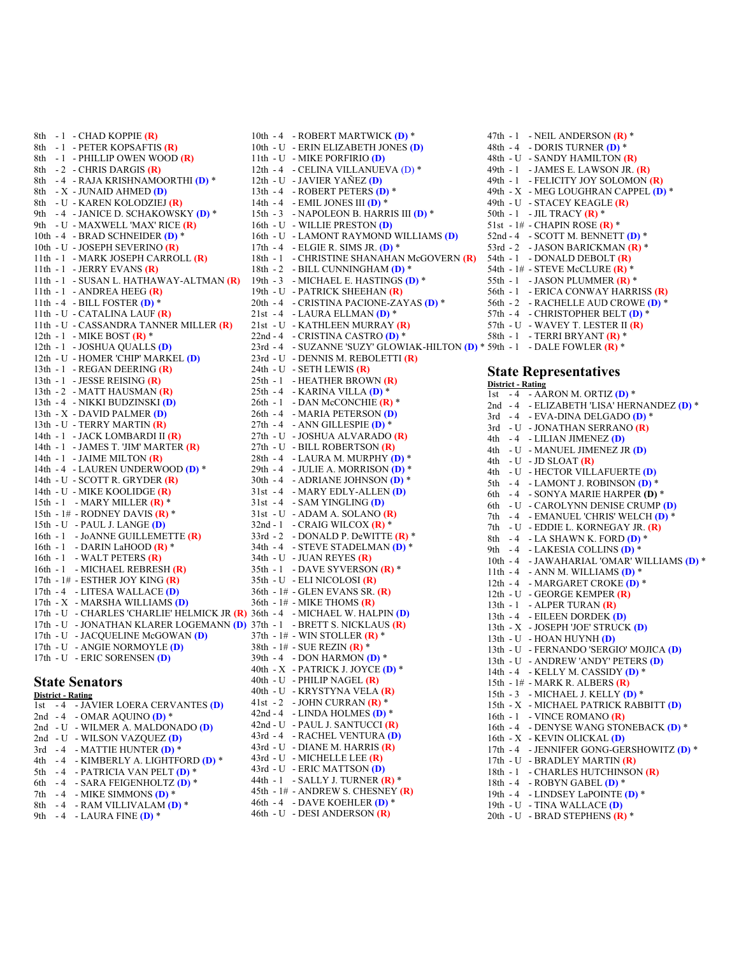8th - 1 - CHAD KOPPIE **(R)** 8th - 1 - PETER KOPSAFTIS **(R)** 8th - 1 - PHILLIP OWEN WOOD **(R)** 8th - 2 - CHRIS DARGIS **(R)** 8th - 4 - RAJA KRISHNAMOORTHI **(D)** \* 8th - X - JUNAID AHMED **(D)** 8th - U - KAREN KOLODZIEJ **(R)** 9th - 4 - JANICE D. SCHAKOWSKY **(D)** \* 9th - U - MAXWELL 'MAX' RICE **(R)** 10th - 4 - BRAD SCHNEIDER **(D)** \* 10th - U - JOSEPH SEVERINO **(R)** 11th - 1 - MARK JOSEPH CARROLL **(R)** 11th - 1 - JERRY EVANS **(R)** 11th - 1 - SUSAN L. HATHAWAY-ALTMAN **(R)** 11th - 1 - ANDREA HEEG **(R)** 11th - 4 - BILL FOSTER **(D)** \* 11th - U - CATALINA LAUF **(R)** 11th - U - CASSANDRA TANNER MILLER **(R)** 12th - 1 - MIKE BOST **(R)** \* 12th - 1 - JOSHUA QUALLS **(D)** 12th - U - HOMER 'CHIP' MARKEL **(D)** 13th - 1 - REGAN DEERING **(R)** 13th - 1 - JESSE REISING **(R)** 13th - 2 - MATT HAUSMAN **(R)** 13th - 4 - NIKKI BUDZINSKI **(D)** 13th - X - DAVID PALMER **(D)** 13th - U - TERRY MARTIN **(R)** 14th - 1 - JACK LOMBARDI II **(R)** 14th - 1 - JAMES T. 'JIM' MARTER **(R)** 14th - 1 - JAIME MILTON **(R)** 14th - 4 - LAUREN UNDERWOOD **(D)** \* 14th - U - SCOTT R. GRYDER **(R)** 14th - U - MIKE KOOLIDGE **(R)** 15th - 1 - MARY MILLER **(R)** \* 15th - 1# - RODNEY DAVIS **(R)** \* 15th - U - PAUL J. LANGE **(D)** 16th - 1 - JoANNE GUILLEMETTE **(R)** 16th - 1 - DARIN LaHOOD **(R)** \* 16th - 1 - WALT PETERS **(R)** 16th - 1 - MICHAEL REBRESH **(R)** 17th - 1# - ESTHER JOY KING **(R)** 17th - 4 - LITESA WALLACE **(D)** 17th - X - MARSHA WILLIAMS **(D)** 17th - U - CHARLES 'CHARLIE' HELMICK JR **(R)** 36th - 4 - MICHAEL W. HALPIN **(D)** 17th - U - JONATHAN KLARER LOGEMANN **(D)** 37th - 1 - BRETT S. NICKLAUS **(R)** 17th - U - JACQUELINE McGOWAN **(D)** 17th - U - ANGIE NORMOYLE **(D)** 17th - U - ERIC SORENSEN **(D)** 10th - 4 - ROBERT MARTWICK **(D)** \*

#### **State Senators District - Rating**

| DISURCE RAUDE |  |                                       |
|---------------|--|---------------------------------------|
|               |  | 1st - 4 - JAVIER LOERA CERVANTES (D)  |
|               |  | 2nd $-4$ - OMAR AQUINO (D) *          |
|               |  | 2nd - U - WILMER A. MALDONADO (D)     |
|               |  | 2nd - U - WILSON VAZQUEZ (D)          |
|               |  | $3rd - 4 - MATTE HUNTER(D)$           |
|               |  | 4th - 4 - KIMBERLY A. LIGHTFORD (D) * |
|               |  | 5th $-4$ - PATRICIA VAN PELT (D) *    |
|               |  | 6th - 4 - SARA FEIGENHOLTZ (D) *      |
| 7th           |  | $-4$ - MIKE SIMMONS (D) *             |
| 8th           |  | $-4$ - RAM VILLIVALAM (D) *           |
| 9th           |  | $-4$ - LAURA FINE (D) *               |

10th - U - ERIN ELIZABETH JONES **(D)** 11th - U - MIKE PORFIRIO **(D)** 12th - 4 - CELINA VILLANUEVA (D) \* 12th - U - JAVIER YAÑEZ **(D)** 13th - 4 - ROBERT PETERS **(D)** \* 14th - 4 - EMIL JONES III **(D)** \* 15th - 3 - NAPOLEON B. HARRIS III **(D)** \* 16th - U - WILLIE PRESTON **(D)** 16th - U - LAMONT RAYMOND WILLIAMS **(D)** 17th - 4 - ELGIE R. SIMS JR. **(D)** \* 18th - 1 - CHRISTINE SHANAHAN McGOVERN **(R)** 18th - 2 - BILL CUNNINGHAM **(D)** \* 19th - 3 - MICHAEL E. HASTINGS **(D)** \* 19th - U - PATRICK SHEEHAN **(R)** 20th - 4 - CRISTINA PACIONE-ZAYAS **(D)** \* 21st - 4 - LAURA ELLMAN **(D)** \* 21st - U - KATHLEEN MURRAY **(R)** 22nd - 4 - CRISTINA CASTRO **(D)** \* 23rd - 4 - SUZANNE 'SUZY' GLOWIAK-HILTON **(D)** \* 59th - 1 - DALE FOWLER **(R)** \* 23rd - U - DENNIS M. REBOLETTI **(R)** 24th - U - SETH LEWIS **(R)** 25th - 1 - HEATHER BROWN **(R)** 25th - 4 - KARINA VILLA **(D)** \* 26th - 1 - DAN McCONCHIE **(R)** \* 26th - 4 - MARIA PETERSON **(D)** 27th - 4 - ANN GILLESPIE **(D)** \* 27th - U - JOSHUA ALVARADO **(R)** 27th - U - BILL ROBERTSON **(R)** 28th - 4 - LAURA M. MURPHY **(D)** \* 29th - 4 - JULIE A. MORRISON **(D)** \* 30th - 4 - ADRIANE JOHNSON **(D)** \* 31st - 4 - MARY EDLY-ALLEN **(D)** 31st - 4 - SAM YINGLING **(D)** 31st - U - ADAM A. SOLANO **(R)** 32nd - 1 - CRAIG WILCOX **(R)** \* 33rd - 2 - DONALD P. DeWITTE **(R)** \* 34th - 4 - STEVE STADELMAN **(D)** \* 34th - U - JUAN REYES **(R)** 35th - 1 - DAVE SYVERSON **(R)** \* 35th - U - ELI NICOLOSI **(R)** 36th - 1# - GLEN EVANS SR. **(R)** 36th - 1# - MIKE THOMS **(R)**  $37th - 1#$  - WIN STOLLER  $(R)$ <sup>\*</sup> 38th - 1# - SUE REZIN **(R)** \* 39th - 4 - DON HARMON **(D)** \* 40th - X - PATRICK J. JOYCE **(D)** \* 40th - U - PHILIP NAGEL **(R)** 40th - U - KRYSTYNA VELA **(R)** 41st - 2 - JOHN CURRAN **(R)** \* 42nd - 4 - LINDA HOLMES **(D)** \* 42nd - U - PAUL J. SANTUCCI **(R)** 43rd - 4 - RACHEL VENTURA **(D)** 43rd - U - DIANE M. HARRIS **(R)** 43rd - U - MICHELLE LEE **(R)** 43rd - U - ERIC MATTSON **(D)** 44th - 1 - SALLY J. TURNER **(R)** \* 45th - 1# - ANDREW S. CHESNEY **(R)** 46th - 4 - DAVE KOEHLER **(D)** \* 46th - U - DESI ANDERSON **(R)**

47th - 1 - NEIL ANDERSON **(R)** \* 48th - 4 - DORIS TURNER **(D)** \* 48th - U - SANDY HAMILTON **(R)** 49th - 1 - JAMES E. LAWSON JR. **(R)** 49th - 1 - FELICITY JOY SOLOMON **(R)** 49th - X - MEG LOUGHRAN CAPPEL **(D)** \* 49th - U - STACEY KEAGLE **(R)** 50th - 1 - JIL TRACY **(R)** \* 51st - 1# - CHAPIN ROSE **(R)** \* 52nd - 4 - SCOTT M. BENNETT **(D)** \* 53rd - 2 - JASON BARICKMAN **(R)** \* 54th - 1 - DONALD DEBOLT **(R)** 54th - 1# - STEVE McCLURE **(R)** \* 55th - 1 - JASON PLUMMER **(R)** \* 56th - 1 - ERICA CONWAY HARRISS **(R)** 56th - 2 - RACHELLE AUD CROWE **(D)** \* 57th - 4 - CHRISTOPHER BELT **(D)** \* 57th - U - WAVEY T. LESTER II **(R)** 58th - 1 - TERRI BRYANT **(R)** \*

#### **State Representatives District - Rating**

1st - 4 - AARON M. ORTIZ **(D)** \* 2nd - 4 - ELIZABETH 'LISA' HERNANDEZ **(D)** \* 3rd - 4 - EVA-DINA DELGADO **(D)** \* 3rd - U - JONATHAN SERRANO **(R)** 4th - 4 - LILIAN JIMENEZ **(D)** 4th - U - MANUEL JIMENEZ JR **(D)** 4th - U - JD SLOAT **(R)** 4th - U - HECTOR VILLAFUERTE **(D)** 5th - 4 - LAMONT J. ROBINSON **(D)** \* 6th - 4 - SONYA MARIE HARPER **(D)** \* 6th - U - CAROLYNN DENISE CRUMP **(D)** 7th - 4 - EMANUEL 'CHRIS' WELCH **(D)** \* 7th - U - EDDIE L. KORNEGAY JR. **(R)** 8th - 4 - LA SHAWN K. FORD **(D)** \* 9th - 4 - LAKESIA COLLINS **(D)** \* 10th - 4 - JAWAHARIAL 'OMAR' WILLIAMS **(D)** \* 11th - 4 - ANN M. WILLIAMS **(D)** \* 12th - 4 - MARGARET CROKE **(D)** \* 12th - U - GEORGE KEMPER **(R)** 13th - 1 - ALPER TURAN **(R)** 13th - 4 - EILEEN DORDEK **(D)** 13th - X - JOSEPH 'JOE' STRUCK **(D)** 13th - U - HOAN HUYNH **(D)** 13th - U - FERNANDO 'SERGIO' MOJICA **(D)** 13th - U - ANDREW 'ANDY' PETERS **(D)** 14th - 4 - KELLY M. CASSIDY **(D)** \* 15th - 1# - MARK R. ALBERS **(R)** 15th - 3 - MICHAEL J. KELLY **(D)** \* 15th - X - MICHAEL PATRICK RABBITT **(D)** 16th - 1 - VINCE ROMANO **(R)** 16th - 4 - DENYSE WANG STONEBACK **(D)** \* 16th - X - KEVIN OLICKAL **(D)** 17th - 4 - JENNIFER GONG-GERSHOWITZ **(D)** \* 17th - U - BRADLEY MARTIN **(R)** 18th - 1 - CHARLES HUTCHINSON **(R)** 18th - 4 - ROBYN GABEL **(D)** \* 19th - 4 - LINDSEY LaPOINTE **(D)** \* 19th - U - TINA WALLACE **(D)** 20th - U - BRAD STEPHENS **(R)** \*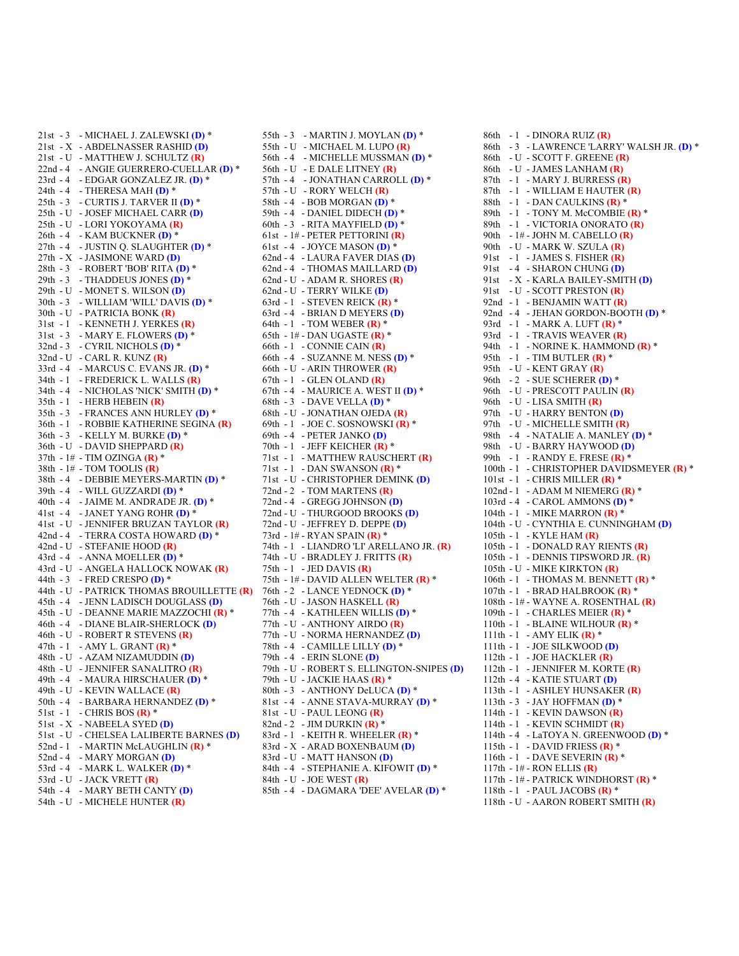21st - 3 - MICHAEL J. ZALEWSKI **(D)** \* 21st - X - ABDELNASSER RASHID **(D)** 21st - U - MATTHEW J. SCHULTZ **(R)** 22nd - 4 - ANGIE GUERRERO-CUELLAR **(D)** \* 23rd - 4 - EDGAR GONZALEZ JR. **(D)** \* 24th - 4 - THERESA MAH **(D)** \* 25th - 3 - CURTIS J. TARVER II **(D)** \* 25th - U - JOSEF MICHAEL CARR **(D)** 25th - U - LORI YOKOYAMA **(R)** 26th - 4 - KAM BUCKNER **(D)** \* 27th - 4 - JUSTIN Q. SLAUGHTER **(D)** \* 27th - X - JASIMONE WARD **(D)** 28th - 3 - ROBERT 'BOB' RITA **(D)** \* 29th - 3 - THADDEUS JONES **(D)** \* 29th - U - MONET S. WILSON **(D)** 30th - 3 - WILLIAM 'WILL' DAVIS **(D)** \* 30th - U - PATRICIA BONK **(R)** 31st - 1 - KENNETH J. YERKES **(R)** 31st - 3 - MARY E. FLOWERS **(D)** \* 32nd - 3 - CYRIL NICHOLS **(D)** \* 32nd - U - CARL R. KUNZ **(R)** 33rd - 4 - MARCUS C. EVANS JR. **(D)** \* 34th - 1 - FREDERICK L. WALLS **(R)** 34th - 4 - NICHOLAS 'NICK' SMITH **(D)** \* 35th - 1 - HERB HEBEIN **(R)** 35th - 3 - FRANCES ANN HURLEY **(D)** \* 36th - 1 - ROBBIE KATHERINE SEGINA **(R)** 36th - 3 - KELLY M. BURKE **(D)** \* 36th - U - DAVID SHEPPARD **(R)** 37th - 1# - TIM OZINGA **(R)** \* 38th - 1# - TOM TOOLIS **(R)** 38th - 4 - DEBBIE MEYERS-MARTIN **(D)** \* 39th - 4 - WILL GUZZARDI **(D)** \* 40th - 4 - JAIME M. ANDRADE JR. **(D)** \* 41st - 4 - JANET YANG ROHR **(D)** \* 41st - U - JENNIFER BRUZAN TAYLOR **(R)** 42nd - 4 - TERRA COSTA HOWARD **(D)** \* 42nd - U - STEFANIE HOOD **(R)** 43rd - 4 - ANNA MOELLER **(D)** \* 43rd - U - ANGELA HALLOCK NOWAK **(R)** 44th - 3 - FRED CRESPO **(D)** \* 44th - U - PATRICK THOMAS BROUILLETTE **(R)** 45th - 4 - JENN LADISCH DOUGLASS **(D)** 45th - U - DEANNE MARIE MAZZOCHI **(R)** \* 46th - 4 - DIANE BLAIR-SHERLOCK **(D)** 46th - U - ROBERT R STEVENS **(R)** 47th - 1 - AMY L. GRANT **(R)** \* 48th - U - AZAM NIZAMUDDIN **(D)** 48th - U - JENNIFER SANALITRO **(R)** 49th - 4 - MAURA HIRSCHAUER **(D)** \* 49th - U - KEVIN WALLACE **(R)** 50th - 4 - BARBARA HERNANDEZ **(D)** \* 51st - 1 - CHRIS BOS **(R)** \* 51st - X - NABEELA SYED **(D)** 51st - U - CHELSEA LALIBERTE BARNES **(D)** 52nd - 1 - MARTIN McLAUGHLIN **(R)** \* 52nd - 4 - MARY MORGAN **(D)** 53rd - 4 - MARK L. WALKER **(D)** \* 53rd - U - JACK VRETT **(R)** 54th - 4 - MARY BETH CANTY **(D)** 54th - U - MICHELE HUNTER **(R)**

55th - 3 - MARTIN J. MOYLAN **(D)** \* 55th - U - MICHAEL M. LUPO **(R)** 56th - 4 - MICHELLE MUSSMAN **(D)** \* 56th - U - E DALE LITNEY **(R)** 57th - 4 - JONATHAN CARROLL **(D)** \* 57th - U - RORY WELCH **(R)** 58th - 4 - BOB MORGAN **(D)** \* 59th - 4 - DANIEL DIDECH **(D)** \* 60th - 3 - RITA MAYFIELD **(D)** \* 61st - 1# - PETER PETTORINI **(R)** 61st - 4 - JOYCE MASON **(D)** \* 62nd - 4 - LAURA FAVER DIAS **(D)** 62nd - 4 - THOMAS MAILLARD **(D)** 62nd - U - ADAM R. SHORES **(R)** 62nd - U - TERRY WILKE **(D)** 63rd - 1 - STEVEN REICK **(R)** \* 63rd - 4 - BRIAN D MEYERS **(D)** 64th - 1 - TOM WEBER **(R)** \* 65th - 1# - DAN UGASTE **(R)** \* 66th - 1 - CONNIE CAIN **(R)** 66th - 4 - SUZANNE M. NESS **(D)** \* 66th - U - ARIN THROWER **(R)** 67th - 1 - GLEN OLAND **(R)** 67th - 4 - MAURICE A. WEST II **(D)** \* 68th - 3 - DAVE VELLA **(D)** \* 68th - U - JONATHAN OJEDA **(R)** 69th - 1 - JOE C. SOSNOWSKI **(R)** \* 69th - 4 - PETER JANKO **(D)** 70th - 1 - JEFF KEICHER **(R)** \* 71st - 1 - MATTHEW RAUSCHERT **(R)** 71st - 1 - DAN SWANSON **(R)** \* 71st - U - CHRISTOPHER DEMINK **(D)** 72nd - 2 - TOM MARTENS **(R)** 72nd - 4 - GREGG JOHNSON **(D)** 72nd - U - THURGOOD BROOKS **(D)** 72nd - U - JEFFREY D. DEPPE **(D)** 73rd - 1# - RYAN SPAIN **(R)** \* 74th - 1 - LIANDRO 'LI' ARELLANO JR. **(R)** 74th - U - BRADLEY J. FRITTS **(R)** 75th - 1 - JED DAVIS **(R)** 75th - 1# - DAVID ALLEN WELTER **(R)** \* 76th - 2 - LANCE YEDNOCK **(D)** \* 76th - U - JASON HASKELL **(R)** 77th - 4 - KATHLEEN WILLIS **(D)** \* 77th - U - ANTHONY AIRDO **(R)** 77th - U - NORMA HERNANDEZ **(D)** 78th - 4 - CAMILLE LILLY **(D)** \* 79th - 4 - ERIN SLONE **(D)** 79th - U - ROBERT S. ELLINGTON-SNIPES **(D)** 79th - U - JACKIE HAAS **(R)** \* 80th - 3 - ANTHONY DeLUCA **(D)** \* 81st - 4 - ANNE STAVA-MURRAY **(D)** \* 81st - U - PAUL LEONG **(R)** 82nd - 2 - JIM DURKIN **(R)** \* 83rd - 1 - KEITH R. WHEELER **(R)** \* 83rd - X - ARAD BOXENBAUM **(D)** 83rd - U - MATT HANSON **(D)** 84th - 4 - STEPHANIE A. KIFOWIT **(D)** \* 84th - U - JOE WEST **(R)** 85th - 4 - DAGMARA 'DEE' AVELAR **(D)** \*

86th - 1 - DINORA RUIZ **(R)** 86th - 3 - LAWRENCE 'LARRY' WALSH JR. **(D)** \* 86th - U - SCOTT F. GREENE **(R)** 86th - U - JAMES LANHAM **(R)** 87th - 1 - MARY J. BURRESS **(R)** 87th - 1 - WILLIAM E HAUTER **(R)** 88th - 1 - DAN CAULKINS **(R)** \* 89th - 1 - TONY M. McCOMBIE **(R)** \* 89th - 1 - VICTORIA ONORATO **(R)** 90th - 1# - JOHN M. CABELLO **(R)** 90th - U - MARK W. SZULA **(R)** 91st - 1 - JAMES S. FISHER **(R)** 91st - 4 - SHARON CHUNG **(D)** 91st - X - KARLA BAILEY-SMITH **(D)** 91st - U - SCOTT PRESTON **(R)** 92nd - 1 - BENJAMIN WATT **(R)** 92nd - 4 - JEHAN GORDON-BOOTH **(D)** \* 93rd - 1 - MARK A. LUFT **(R)** \* 93rd - 1 - TRAVIS WEAVER **(R)** 94th - 1 - NORINE K. HAMMOND **(R)** \* 95th - 1 - TIM BUTLER **(R)** \* 95th - U - KENT GRAY **(R)** 96th - 2 - SUE SCHERER **(D)** \* 96th - U - PRESCOTT PAULIN **(R)** 96th - U - LISA SMITH **(R)** 97th - U - HARRY BENTON **(D)** 97th - U - MICHELLE SMITH **(R)** 98th - 4 - NATALIE A. MANLEY **(D)** \* 98th - U - BARRY HAYWOOD **(D)** 99th - 1 - RANDY E. FRESE **(R)** \* 100th - 1 - CHRISTOPHER DAVIDSMEYER **(R)** \* 101st - 1 - CHRIS MILLER **(R)** \* 102nd - 1 - ADAM M NIEMERG **(R)** \* 103rd - 4 - CAROL AMMONS **(D)** \* 104th - 1 - MIKE MARRON **(R)** \* 104th - U - CYNTHIA E. CUNNINGHAM **(D)** 105th - 1 - KYLE HAM **(R)** 105th - 1 - DONALD RAY RIENTS **(R)** 105th - 1 - DENNIS TIPSWORD JR. **(R)** 105th - U - MIKE KIRKTON **(R)** 106th - 1 - THOMAS M. BENNETT **(R)** \* 107th - 1 - BRAD HALBROOK **(R)** \* 108th - 1# - WAYNE A. ROSENTHAL **(R)** 109th - 1 - CHARLES MEIER **(R)** \* 110th - 1 - BLAINE WILHOUR **(R)** \* 111th - 1 - AMY ELIK **(R)** \* 111th - 1 - JOE SILKWOOD **(D)** 112th - 1 - JOE HACKLER **(R)** 112th - 1 - JENNIFER M. KORTE **(R)** 112th - 4 - KATIE STUART **(D)** 113th - 1 - ASHLEY HUNSAKER **(R)** 113th - 3 - JAY HOFFMAN **(D)** \* 114th - 1 - KEVIN DAWSON **(R)** 114th - 1 - KEVIN SCHMIDT **(R)** 114th - 4 - LaTOYA N. GREENWOOD **(D)** \* 115th - 1 - DAVID FRIESS **(R)** \* 116th - 1 - DAVE SEVERIN **(R)** \* 117th - 1# - RON ELLIS **(R)** 117th - 1# - PATRICK WINDHORST **(R)** \* 118th - 1 - PAUL JACOBS **(R)** \* 118th - U - AARON ROBERT SMITH **(R)**